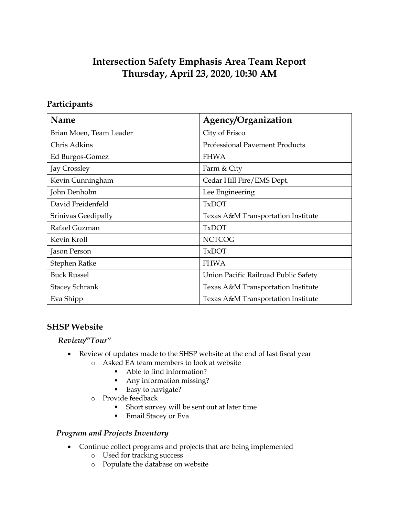# **Intersection Safety Emphasis Area Team Report Thursday, April 23, 2020, 10:30 AM**

# **Participants**

| Name                    | Agency/Organization                   |
|-------------------------|---------------------------------------|
| Brian Moen, Team Leader | City of Frisco                        |
| Chris Adkins            | <b>Professional Pavement Products</b> |
| Ed Burgos-Gomez         | <b>FHWA</b>                           |
| Jay Crossley            | Farm & City                           |
| Kevin Cunningham        | Cedar Hill Fire/EMS Dept.             |
| John Denholm            | Lee Engineering                       |
| David Freidenfeld       | <b>TxDOT</b>                          |
| Srinivas Geedipally     | Texas A&M Transportation Institute    |
| Rafael Guzman           | <b>TxDOT</b>                          |
| Kevin Kroll             | <b>NCTCOG</b>                         |
| Jason Person            | <b>TxDOT</b>                          |
| Stephen Ratke           | <b>FHWA</b>                           |
| <b>Buck Russel</b>      | Union Pacific Railroad Public Safety  |
| <b>Stacey Schrank</b>   | Texas A&M Transportation Institute    |
| Eva Shipp               | Texas A&M Transportation Institute    |

# **SHSP Website**

#### *Review/"Tour"*

- Review of updates made to the SHSP website at the end of last fiscal year
	- o Asked EA team members to look at website
		- Able to find information?
		- Any information missing?
		- Easy to navigate?
	- o Provide feedback
		- Short survey will be sent out at later time
		- Email Stacey or Eva

#### *Program and Projects Inventory*

- Continue collect programs and projects that are being implemented
	- o Used for tracking success
	- o Populate the database on website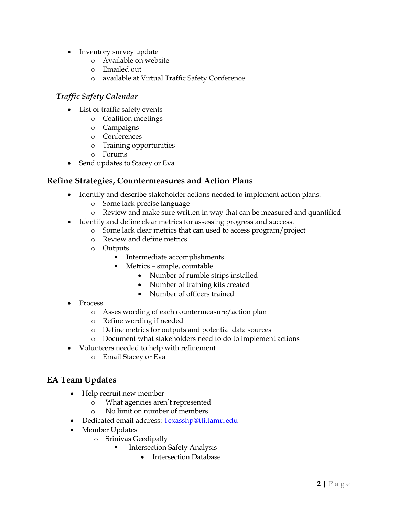- Inventory survey update
	- o Available on website
	- o Emailed out
	- o available at Virtual Traffic Safety Conference

## *Traffic Safety Calendar*

- List of traffic safety events
	- o Coalition meetings
	- o Campaigns
	- o Conferences
	- o Training opportunities
	- o Forums
- Send updates to Stacey or Eva

## **Refine Strategies, Countermeasures and Action Plans**

- Identify and describe stakeholder actions needed to implement action plans.
	- o Some lack precise language
	- o Review and make sure written in way that can be measured and quantified
- Identify and define clear metrics for assessing progress and success.
	- o Some lack clear metrics that can used to access program/project
	- o Review and define metrics
	- o Outputs
		- **Intermediate accomplishments** 
			- Metrics simple, countable
				- Number of rumble strips installed
				- Number of training kits created
				- Number of officers trained
- Process
	- o Asses wording of each countermeasure/action plan
	- o Refine wording if needed
	- o Define metrics for outputs and potential data sources
	- o Document what stakeholders need to do to implement actions
- Volunteers needed to help with refinement
	- o Email Stacey or Eva

# **EA Team Updates**

- Help recruit new member
	- o What agencies aren't represented
	- o No limit on number of members
- Dedicated email address: [Texasshp@tti.tamu.edu](mailto:Texasshp@tti.tamu.edu)
- Member Updates
	- o Srinivas Geedipally
		- Intersection Safety Analysis
			- Intersection Database